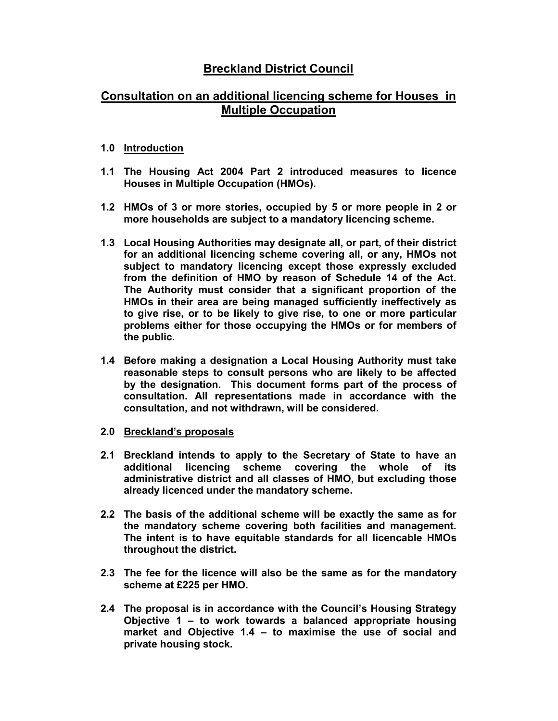## Breckland District Council

## Consultation on an additional licencing scheme for Houses in Multiple Occupation

## 1.0 Introduction

- 1.1 The Housing Act 2004 Part 2 introduced measures to licence Houses in Multiple Occupation (HMOs).
- 1.2 HMOs of 3 or more stories, occupied by 5 or more people in 2 or more households are subject to a mandatory licencing scheme.
- 1.3 Local Housing Authorities may designate all, or part, of their district for an additional licencing scheme covering all, or any, HMOs not subject to mandatory licencing except those expressly excluded from the definition of HMO by reason of Schedule 14 of the Act. The Authority must consider that a significant proportion of the HMOs in their area are being managed sufficiently ineffectively as to give rise, or to be likely to give rise, to one or more particular problems either for those occupying the HMOs or for members of the public.
- 1.4 Before making a designation a Local Housing Authority must take reasonable steps to consult persons who are likely to be affected by the designation. This document forms part of the process of consultation. All representations made in accordance with the consultation, and not withdrawn, will be considered.
- 2.0 Breckland's proposals
- 2.1 Breckland intends to apply to the Secretary of State to have an additional licencing scheme covering the whole of its administrative district and all classes of HMO, but excluding those already licenced under the mandatory scheme.
- 2.2 The basis of the additional scheme will be exactly the same as for the mandatory scheme covering both facilities and management. The intent is to have equitable standards for all licencable HMOs throughout the district.
- 2.3 The fee for the licence will also be the same as for the mandatory scheme at £225 per HMO.
- 2.4 The proposal is in accordance with the Council's Housing Strategy Objective 1 – to work towards a balanced appropriate housing market and Objective 1.4 – to maximise the use of social and private housing stock.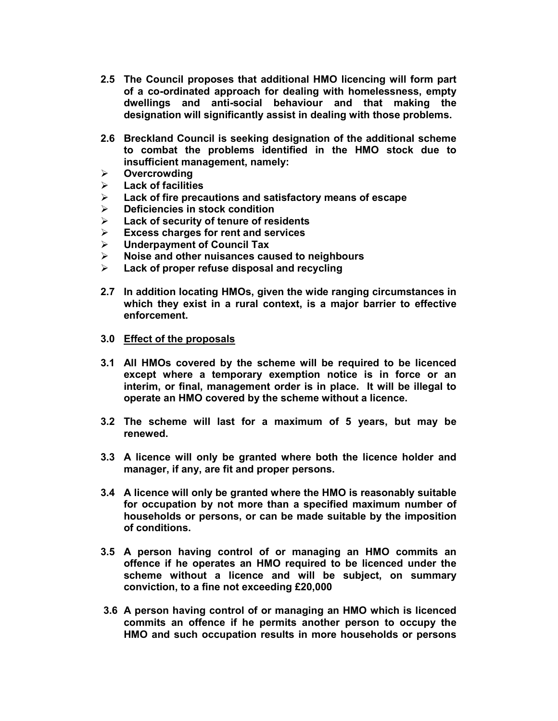- 2.5 The Council proposes that additional HMO licencing will form part of a co-ordinated approach for dealing with homelessness, empty dwellings and anti-social behaviour and that making the designation will significantly assist in dealing with those problems.
- 2.6 Breckland Council is seeking designation of the additional scheme to combat the problems identified in the HMO stock due to insufficient management, namely:
- $\triangleright$  Overcrowding
- $\triangleright$  Lack of facilities
- $\triangleright$  Lack of fire precautions and satisfactory means of escape
- $\triangleright$  Deficiencies in stock condition
- $\triangleright$  Lack of security of tenure of residents
- $\triangleright$  Excess charges for rent and services
- $\triangleright$  Underpayment of Council Tax
- $\triangleright$  Noise and other nuisances caused to neighbours
- Lack of proper refuse disposal and recycling
- 2.7 In addition locating HMOs, given the wide ranging circumstances in which they exist in a rural context, is a major barrier to effective enforcement.
- 3.0 Effect of the proposals
- 3.1 All HMOs covered by the scheme will be required to be licenced except where a temporary exemption notice is in force or an interim, or final, management order is in place. It will be illegal to operate an HMO covered by the scheme without a licence.
- 3.2 The scheme will last for a maximum of 5 years, but may be renewed.
- 3.3 A licence will only be granted where both the licence holder and manager, if any, are fit and proper persons.
- 3.4 A licence will only be granted where the HMO is reasonably suitable for occupation by not more than a specified maximum number of households or persons, or can be made suitable by the imposition of conditions.
- 3.5 A person having control of or managing an HMO commits an offence if he operates an HMO required to be licenced under the scheme without a licence and will be subject, on summary conviction, to a fine not exceeding £20,000
- 3.6 A person having control of or managing an HMO which is licenced commits an offence if he permits another person to occupy the HMO and such occupation results in more households or persons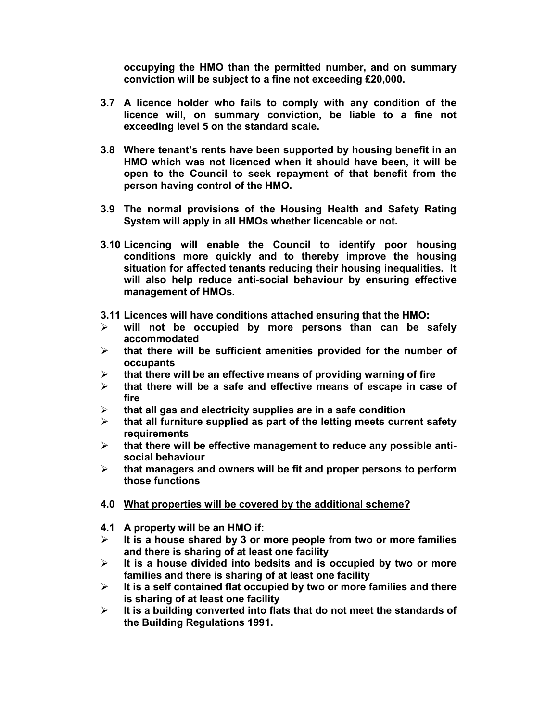occupying the HMO than the permitted number, and on summary conviction will be subject to a fine not exceeding £20,000.

- 3.7 A licence holder who fails to comply with any condition of the licence will, on summary conviction, be liable to a fine not exceeding level 5 on the standard scale.
- 3.8 Where tenant's rents have been supported by housing benefit in an HMO which was not licenced when it should have been, it will be open to the Council to seek repayment of that benefit from the person having control of the HMO.
- 3.9 The normal provisions of the Housing Health and Safety Rating System will apply in all HMOs whether licencable or not.
- 3.10 Licencing will enable the Council to identify poor housing conditions more quickly and to thereby improve the housing situation for affected tenants reducing their housing inequalities. It will also help reduce anti-social behaviour by ensuring effective management of HMOs.
- 3.11 Licences will have conditions attached ensuring that the HMO:
- $\triangleright$  will not be occupied by more persons than can be safely accommodated
- $\triangleright$  that there will be sufficient amenities provided for the number of occupants
- $\triangleright$  that there will be an effective means of providing warning of fire
- $\triangleright$  that there will be a safe and effective means of escape in case of fire
- $\triangleright$  that all gas and electricity supplies are in a safe condition
- $\triangleright$  that all furniture supplied as part of the letting meets current safety **requirements**
- $\triangleright$  that there will be effective management to reduce any possible antisocial behaviour
- $\triangleright$  that managers and owners will be fit and proper persons to perform those functions
- 4.0 What properties will be covered by the additional scheme?
- 4.1 A property will be an HMO if:
- $\triangleright$  It is a house shared by 3 or more people from two or more families and there is sharing of at least one facility
- $\triangleright$  It is a house divided into bedsits and is occupied by two or more families and there is sharing of at least one facility
- $\triangleright$  It is a self contained flat occupied by two or more families and there is sharing of at least one facility
- $\triangleright$  It is a building converted into flats that do not meet the standards of the Building Regulations 1991.